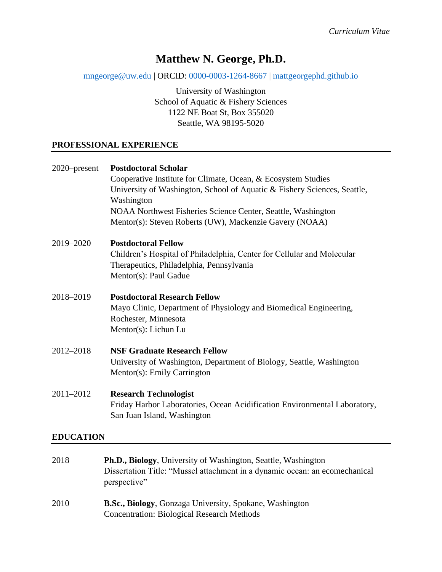# **Matthew N. George, Ph.D.**

[mngeorge@uw.edu](mailto:mngeorge@uw.edu) | ORCID: [0000-0003-1264-8667](https://orcid.org/0000-0003-1264-8667) | [mattgeorgephd.github.io](https://mattgeorgephd.github.io/)

University of Washington School of Aquatic & Fishery Sciences 1122 NE Boat St, Box 355020 Seattle, WA 98195-5020

#### **PROFESSIONAL EXPERIENCE**

| 2020–present     | <b>Postdoctoral Scholar</b><br>Cooperative Institute for Climate, Ocean, & Ecosystem Studies<br>University of Washington, School of Aquatic & Fishery Sciences, Seattle,<br>Washington<br>NOAA Northwest Fisheries Science Center, Seattle, Washington<br>Mentor(s): Steven Roberts (UW), Mackenzie Gavery (NOAA) |
|------------------|-------------------------------------------------------------------------------------------------------------------------------------------------------------------------------------------------------------------------------------------------------------------------------------------------------------------|
| 2019-2020        | <b>Postdoctoral Fellow</b><br>Children's Hospital of Philadelphia, Center for Cellular and Molecular<br>Therapeutics, Philadelphia, Pennsylvania<br>Mentor(s): Paul Gadue                                                                                                                                         |
| 2018-2019        | <b>Postdoctoral Research Fellow</b><br>Mayo Clinic, Department of Physiology and Biomedical Engineering,<br>Rochester, Minnesota<br>Mentor(s): Lichun Lu                                                                                                                                                          |
| 2012-2018        | <b>NSF Graduate Research Fellow</b><br>University of Washington, Department of Biology, Seattle, Washington<br>Mentor(s): Emily Carrington                                                                                                                                                                        |
| 2011-2012        | <b>Research Technologist</b><br>Friday Harbor Laboratories, Ocean Acidification Environmental Laboratory,<br>San Juan Island, Washington                                                                                                                                                                          |
| <b>EDUCATION</b> |                                                                                                                                                                                                                                                                                                                   |
| 2018             | Ph.D., Biology, University of Washington, Seattle, Washington<br>Dissertation Title: "Mussel attachment in a dynamic ocean: an ecomechanical                                                                                                                                                                      |

2010 **B.Sc., Biology**, Gonzaga University, Spokane, Washington Concentration: Biological Research Methods

perspective"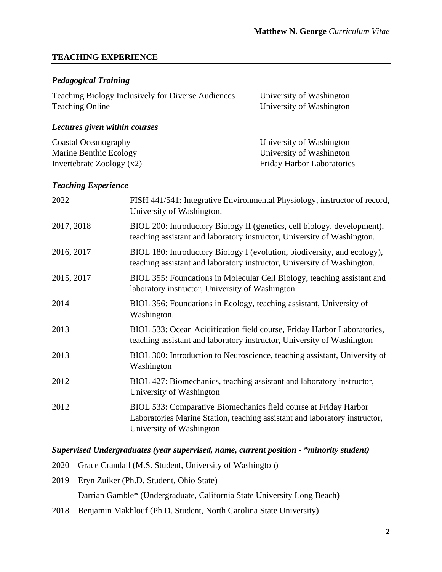#### **TEACHING EXPERIENCE**

#### *Pedagogical Training*

| Teaching Biology Inclusively for Diverse Audiences | University of Washington |
|----------------------------------------------------|--------------------------|
| <b>Teaching Online</b>                             | University of Washington |

### *Lectures given within courses*

| Coastal Oceanography        | University of Washington          |
|-----------------------------|-----------------------------------|
| Marine Benthic Ecology      | University of Washington          |
| Invertebrate Zoology $(x2)$ | <b>Friday Harbor Laboratories</b> |

#### *Teaching Experience*

| 2022       | FISH 441/541: Integrative Environmental Physiology, instructor of record,<br>University of Washington.                                                                     |
|------------|----------------------------------------------------------------------------------------------------------------------------------------------------------------------------|
| 2017, 2018 | BIOL 200: Introductory Biology II (genetics, cell biology, development),<br>teaching assistant and laboratory instructor, University of Washington.                        |
| 2016, 2017 | BIOL 180: Introductory Biology I (evolution, biodiversity, and ecology),<br>teaching assistant and laboratory instructor, University of Washington.                        |
| 2015, 2017 | BIOL 355: Foundations in Molecular Cell Biology, teaching assistant and<br>laboratory instructor, University of Washington.                                                |
| 2014       | BIOL 356: Foundations in Ecology, teaching assistant, University of<br>Washington.                                                                                         |
| 2013       | BIOL 533: Ocean Acidification field course, Friday Harbor Laboratories,<br>teaching assistant and laboratory instructor, University of Washington                          |
| 2013       | BIOL 300: Introduction to Neuroscience, teaching assistant, University of<br>Washington                                                                                    |
| 2012       | BIOL 427: Biomechanics, teaching assistant and laboratory instructor,<br>University of Washington                                                                          |
| 2012       | BIOL 533: Comparative Biomechanics field course at Friday Harbor<br>Laboratories Marine Station, teaching assistant and laboratory instructor,<br>University of Washington |

### *Supervised Undergraduates (year supervised, name, current position - \*minority student)*

- 2020 Grace Crandall (M.S. Student, University of Washington)
- 2019 Eryn Zuiker (Ph.D. Student, Ohio State)

Darrian Gamble\* (Undergraduate, California State University Long Beach)

2018 Benjamin Makhlouf (Ph.D. Student, North Carolina State University)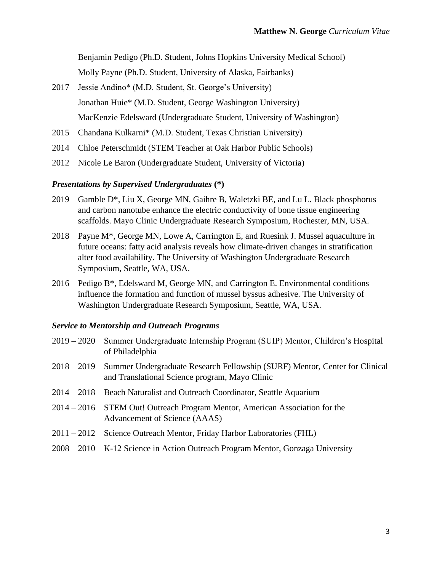Benjamin Pedigo (Ph.D. Student, Johns Hopkins University Medical School) Molly Payne (Ph.D. Student, University of Alaska, Fairbanks)

- 2017 Jessie Andino\* (M.D. Student, St. George's University) Jonathan Huie\* (M.D. Student, George Washington University) MacKenzie Edelsward (Undergraduate Student, University of Washington)
- 2015 Chandana Kulkarni\* (M.D. Student, Texas Christian University)
- 2014 Chloe Peterschmidt (STEM Teacher at Oak Harbor Public Schools)
- 2012 Nicole Le Baron (Undergraduate Student, University of Victoria)

#### *Presentations by Supervised Undergraduates* **(\*)**

- 2019 Gamble D\*, Liu X, George MN, Gaihre B, Waletzki BE, and Lu L. Black phosphorus and carbon nanotube enhance the electric conductivity of bone tissue engineering scaffolds. Mayo Clinic Undergraduate Research Symposium, Rochester, MN, USA.
- 2018 Payne M\*, George MN, Lowe A, Carrington E, and Ruesink J. Mussel aquaculture in future oceans: fatty acid analysis reveals how climate-driven changes in stratification alter food availability. The University of Washington Undergraduate Research Symposium, Seattle, WA, USA.
- 2016 Pedigo B\*, Edelsward M, George MN, and Carrington E. Environmental conditions influence the formation and function of mussel byssus adhesive. The University of Washington Undergraduate Research Symposium, Seattle, WA, USA.

#### *Service to Mentorship and Outreach Programs*

- 2019 2020 Summer Undergraduate Internship Program (SUIP) Mentor, Children's Hospital of Philadelphia
- 2018 2019 Summer Undergraduate Research Fellowship (SURF) Mentor, Center for Clinical and Translational Science program, Mayo Clinic
- 2014 2018 Beach Naturalist and Outreach Coordinator, Seattle Aquarium
- 2014 2016 STEM Out! Outreach Program Mentor, American Association for the Advancement of Science (AAAS)
- 2011 2012 Science Outreach Mentor, Friday Harbor Laboratories (FHL)
- 2008 2010 K-12 Science in Action Outreach Program Mentor, Gonzaga University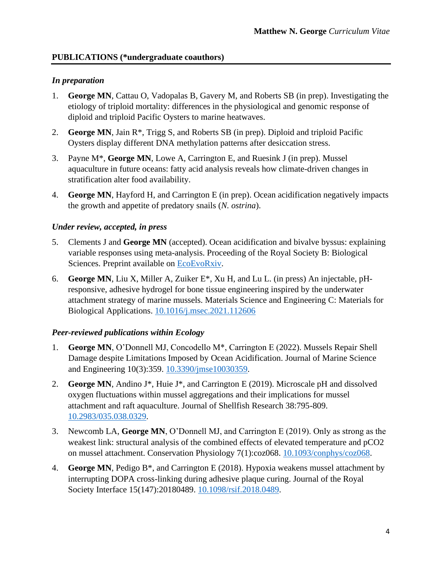#### **PUBLICATIONS (\*undergraduate coauthors)**

#### *In preparation*

- 1. **George MN**, Cattau O, Vadopalas B, Gavery M, and Roberts SB (in prep). Investigating the etiology of triploid mortality: differences in the physiological and genomic response of diploid and triploid Pacific Oysters to marine heatwaves.
- 2. **George MN**, Jain R\*, Trigg S, and Roberts SB (in prep). Diploid and triploid Pacific Oysters display different DNA methylation patterns after desiccation stress.
- 3. Payne M\*, **George MN**, Lowe A, Carrington E, and Ruesink J (in prep). Mussel aquaculture in future oceans: fatty acid analysis reveals how climate-driven changes in stratification alter food availability.
- 4. **George MN**, Hayford H, and Carrington E (in prep). Ocean acidification negatively impacts the growth and appetite of predatory snails (*N. ostrina*).

#### *Under review, accepted, in press*

- 5. Clements J and **George MN** (accepted). Ocean acidification and bivalve byssus: explaining variable responses using meta-analysis. Proceeding of the Royal Society B: Biological Sciences. Preprint available on [EcoEvoRxiv.](https://ecoevorxiv.org/6bpqm/)
- 6. **George MN**, Liu X, Miller A, Zuiker E\*, Xu H, and Lu L. (in press) An injectable, pHresponsive, adhesive hydrogel for bone tissue engineering inspired by the underwater attachment strategy of marine mussels. Materials Science and Engineering C: Materials for Biological Applications. [10.1016/j.msec.2021.112606](https://doi.org/10.1016/j.msec.2021.112606)

#### *Peer-reviewed publications within Ecology*

- 1. **George MN**, O'Donnell MJ, Concodello M\*, Carrington E (2022). Mussels Repair Shell Damage despite Limitations Imposed by Ocean Acidification. Journal of Marine Science and Engineering 10(3):359. [10.3390/jmse10030359.](https://doi.org/10.3390/jmse10030359)
- 2. **George MN**, Andino J\*, Huie J\*, and Carrington E (2019). Microscale pH and dissolved oxygen fluctuations within mussel aggregations and their implications for mussel attachment and raft aquaculture. Journal of Shellfish Research 38:795-809. [10.2983/035.038.0329.](https://bioone.org/journals/journal-of-shellfish-research/volume-38/issue-3/035.038.0329/Microscale-pH-and-Dissolved-Oxygen-Fluctuations-within-Mussel-Aggregations-and/10.2983/035.038.0329.short)
- 3. Newcomb LA, **George MN**, O'Donnell MJ, and Carrington E (2019). Only as strong as the weakest link: structural analysis of the combined effects of elevated temperature and pCO2 on mussel attachment. Conservation Physiology 7(1):coz068. [10.1093/conphys/coz068.](https://academic.oup.com/conphys/article/7/1/coz068/5610355)
- 4. **George MN**, Pedigo B\*, and Carrington E (2018). Hypoxia weakens mussel attachment by interrupting DOPA cross-linking during adhesive plaque curing. Journal of the Royal Society Interface 15(147):20180489. [10.1098/rsif.2018.0489.](https://royalsocietypublishing.org/doi/10.1098/rsif.2018.0489)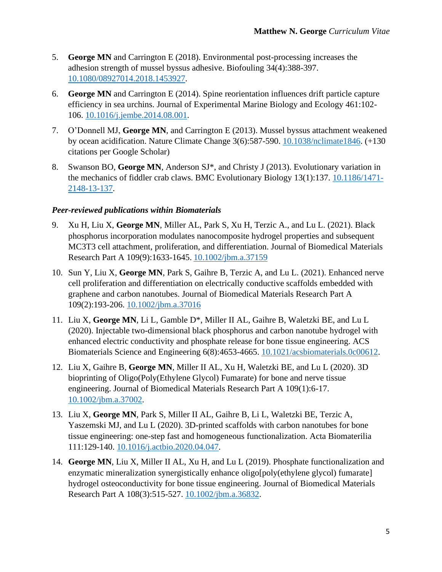- 5. **George MN** and Carrington E (2018). Environmental post-processing increases the adhesion strength of mussel byssus adhesive. Biofouling 34(4):388-397. [10.1080/08927014.2018.1453927.](https://www.tandfonline.com/doi/abs/10.1080/08927014.2018.1453927)
- 6. **George MN** and Carrington E (2014). Spine reorientation influences drift particle capture efficiency in sea urchins. Journal of Experimental Marine Biology and Ecology 461:102- 106. [10.1016/j.jembe.2014.08.001.](https://www.sciencedirect.com/science/article/pii/S0022098114002214)
- 7. O'Donnell MJ, **George MN**, and Carrington E (2013). Mussel byssus attachment weakened by ocean acidification. Nature Climate Change 3(6):587-590. [10.1038/nclimate1846.](https://www.nature.com/articles/nclimate1846) (+130 citations per Google Scholar)
- 8. Swanson BO, **George MN**, Anderson SJ\*, and Christy J (2013). Evolutionary variation in the mechanics of fiddler crab claws. BMC Evolutionary Biology 13(1):137. [10.1186/1471-](https://bmcevolbiol.biomedcentral.com/articles/10.1186/1471-2148-13-137) [2148-13-137.](https://bmcevolbiol.biomedcentral.com/articles/10.1186/1471-2148-13-137)

### *Peer-reviewed publications within Biomaterials*

- 9. Xu H, Liu X, **George MN**, Miller AL, Park S, Xu H, Terzic A., and Lu L. (2021). Black phosphorus incorporation modulates nanocomposite hydrogel properties and subsequent MC3T3 cell attachment, proliferation, and differentiation. Journal of Biomedical Materials Research Part A 109(9):1633-1645. [10.1002/jbm.a.37159](https://doi.org/10.1002/jbm.a.37159)
- 10. Sun Y, Liu X, **George MN**, Park S, Gaihre B, Terzic A, and Lu L. (2021). Enhanced nerve cell proliferation and differentiation on electrically conductive scaffolds embedded with graphene and carbon nanotubes. Journal of Biomedical Materials Research Part A 109(2):193-206. [10.1002/jbm.a.37016](https://doi.org/10.1002/jbm.a.37016)
- 11. Liu X, **George MN**, Li L, Gamble D\*, Miller II AL, Gaihre B, Waletzki BE, and Lu L (2020). Injectable two-dimensional black phosphorus and carbon nanotube hydrogel with enhanced electric conductivity and phosphate release for bone tissue engineering. ACS Biomaterials Science and Engineering 6(8):4653-4665. [10.1021/acsbiomaterials.0c00612.](https://doi.org/10.1021/acsbiomaterials.0c00612)
- 12. Liu X, Gaihre B, **George MN**, Miller II AL, Xu H, Waletzki BE, and Lu L (2020). 3D bioprinting of Oligo(Poly(Ethylene Glycol) Fumarate) for bone and nerve tissue engineering. Journal of Biomedical Materials Research Part A 109(1):6-17. [10.1002/jbm.a.37002.](https://onlinelibrary.wiley.com/doi/epdf/10.1002/jbm.a.37002)
- 13. Liu X, **George MN**, Park S, Miller II AL, Gaihre B, Li L, Waletzki BE, Terzic A, Yaszemski MJ, and Lu L (2020). 3D-printed scaffolds with carbon nanotubes for bone tissue engineering: one-step fast and homogeneous functionalization. Acta Biomaterilia 111:129-140. [10.1016/j.actbio.2020.04.047.](https://doi.org/10.1016/j.actbio.2020.04.047)
- 14. **George MN**, Liu X, Miller II AL, Xu H, and Lu L (2019). Phosphate functionalization and enzymatic mineralization synergistically enhance oligo[poly(ethylene glycol) fumarate] hydrogel osteoconductivity for bone tissue engineering. Journal of Biomedical Materials Research Part A 108(3):515-527. [10.1002/jbm.a.36832.](https://onlinelibrary.wiley.com/doi/abs/10.1002/jbm.a.36832)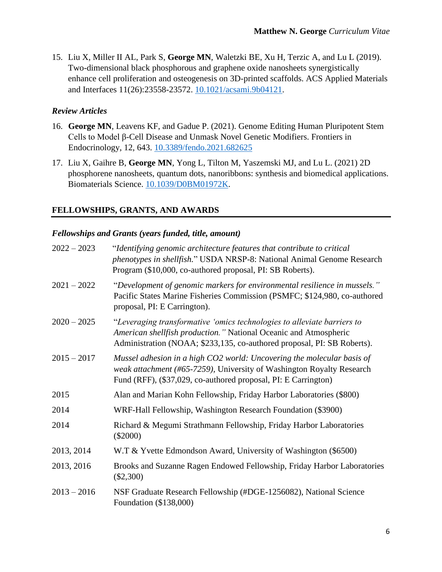15. Liu X, Miller II AL, Park S, **George MN**, Waletzki BE, Xu H, Terzic A, and Lu L (2019). Two-dimensional black phosphorous and graphene oxide nanosheets synergistically enhance cell proliferation and osteogenesis on 3D-printed scaffolds. ACS Applied Materials and Interfaces 11(26):23558-23572. [10.1021/acsami.9b04121.](https://pubs.acs.org/doi/10.1021/acsami.9b04121)

#### *Review Articles*

- 16. **George MN**, Leavens KF, and Gadue P. (2021). Genome Editing Human Pluripotent Stem Cells to Model β-Cell Disease and Unmask Novel Genetic Modifiers. Frontiers in Endocrinology, 12, 643. [10.3389/fendo.2021.682625](https://doi.org/10.3389/fendo.2021.682625)
- 17. Liu X, Gaihre B, **George MN**, Yong L, Tilton M, Yaszemski MJ, and Lu L. (2021) 2D phosphorene nanosheets, quantum dots, nanoribbons: synthesis and biomedical applications. Biomaterials Science. [10.1039/D0BM01972K.](https://doi.org/10.1039/D0BM01972K)

#### **FELLOWSHIPS, GRANTS, AND AWARDS**

#### *Fellowships and Grants (years funded, title, amount)*

| $2022 - 2023$ | "Identifying genomic architecture features that contribute to critical<br>phenotypes in shellfish." USDA NRSP-8: National Animal Genome Research<br>Program (\$10,000, co-authored proposal, PI: SB Roberts).          |
|---------------|------------------------------------------------------------------------------------------------------------------------------------------------------------------------------------------------------------------------|
| $2021 - 2022$ | "Development of genomic markers for environmental resilience in mussels."<br>Pacific States Marine Fisheries Commission (PSMFC; \$124,980, co-authored<br>proposal, PI: E Carrington).                                 |
| $2020 - 2025$ | "Leveraging transformative 'omics technologies to alleviate barriers to<br>American shellfish production." National Oceanic and Atmospheric<br>Administration (NOAA; \$233,135, co-authored proposal, PI: SB Roberts). |
| $2015 - 2017$ | Mussel adhesion in a high CO2 world: Uncovering the molecular basis of<br>weak attachment (#65-7259), University of Washington Royalty Research<br>Fund (RFF), (\$37,029, co-authored proposal, PI: E Carrington)      |
| 2015          | Alan and Marian Kohn Fellowship, Friday Harbor Laboratories (\$800)                                                                                                                                                    |
| 2014          | WRF-Hall Fellowship, Washington Research Foundation (\$3900)                                                                                                                                                           |
| 2014          | Richard & Megumi Strathmann Fellowship, Friday Harbor Laboratories<br>$(\$2000)$                                                                                                                                       |
| 2013, 2014    | W.T & Yvette Edmondson Award, University of Washington (\$6500)                                                                                                                                                        |
| 2013, 2016    | Brooks and Suzanne Ragen Endowed Fellowship, Friday Harbor Laboratories<br>$(\$2,300)$                                                                                                                                 |
| $2013 - 2016$ | NSF Graduate Research Fellowship (#DGE-1256082), National Science<br>Foundation (\$138,000)                                                                                                                            |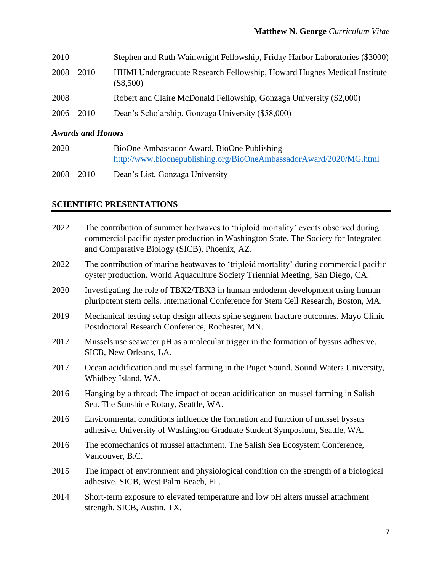| 2010          | Stephen and Ruth Wainwright Fellowship, Friday Harbor Laboratories (\$3000)                   |
|---------------|-----------------------------------------------------------------------------------------------|
| $2008 - 2010$ | <b>HHMI</b> Undergraduate Research Fellowship, Howard Hughes Medical Institute<br>$(\$8,500)$ |
| 2008          | Robert and Claire McDonald Fellowship, Gonzaga University (\$2,000)                           |
| $2006 - 2010$ | Dean's Scholarship, Gonzaga University (\$58,000)                                             |
|               |                                                                                               |

## *Awards and Honors*

| 2020 | BioOne Ambassador Award, BioOne Publishing                         |
|------|--------------------------------------------------------------------|
|      | http://www.bioonepublishing.org/BioOneAmbassadorAward/2020/MG.html |

2008 – 2010 Dean's List, Gonzaga University

## **SCIENTIFIC PRESENTATIONS**

| 2022 | The contribution of summer heatwaves to 'triploid mortality' events observed during<br>commercial pacific oyster production in Washington State. The Society for Integrated<br>and Comparative Biology (SICB), Phoenix, AZ. |
|------|-----------------------------------------------------------------------------------------------------------------------------------------------------------------------------------------------------------------------------|
| 2022 | The contribution of marine heatwaves to 'triploid mortality' during commercial pacific<br>oyster production. World Aquaculture Society Triennial Meeting, San Diego, CA.                                                    |
| 2020 | Investigating the role of TBX2/TBX3 in human endoderm development using human<br>pluripotent stem cells. International Conference for Stem Cell Research, Boston, MA.                                                       |
| 2019 | Mechanical testing setup design affects spine segment fracture outcomes. Mayo Clinic<br>Postdoctoral Research Conference, Rochester, MN.                                                                                    |
| 2017 | Mussels use seawater pH as a molecular trigger in the formation of byssus adhesive.<br>SICB, New Orleans, LA.                                                                                                               |
| 2017 | Ocean acidification and mussel farming in the Puget Sound. Sound Waters University,<br>Whidbey Island, WA.                                                                                                                  |
| 2016 | Hanging by a thread: The impact of ocean acidification on mussel farming in Salish<br>Sea. The Sunshine Rotary, Seattle, WA.                                                                                                |
| 2016 | Environmental conditions influence the formation and function of mussel byssus<br>adhesive. University of Washington Graduate Student Symposium, Seattle, WA.                                                               |
| 2016 | The ecomechanics of mussel attachment. The Salish Sea Ecosystem Conference,<br>Vancouver, B.C.                                                                                                                              |
| 2015 | The impact of environment and physiological condition on the strength of a biological<br>adhesive. SICB, West Palm Beach, FL.                                                                                               |
| 2014 | Short-term exposure to elevated temperature and low pH alters mussel attachment<br>strength. SICB, Austin, TX.                                                                                                              |